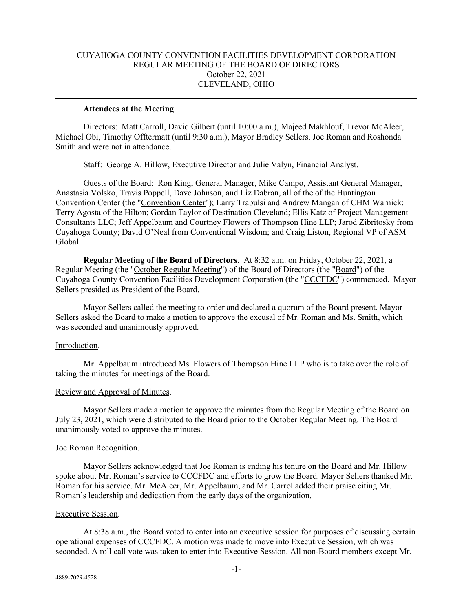# CUYAHOGA COUNTY CONVENTION FACILITIES DEVELOPMENT CORPORATION REGULAR MEETING OF THE BOARD OF DIRECTORS October 22, 2021 CLEVELAND, OHIO

### **Attendees at the Meeting**:

Directors: Matt Carroll, David Gilbert (until 10:00 a.m.), Majeed Makhlouf, Trevor McAleer, Michael Obi, Timothy Offtermatt (until 9:30 a.m.), Mayor Bradley Sellers. Joe Roman and Roshonda Smith and were not in attendance.

Staff: George A. Hillow, Executive Director and Julie Valyn, Financial Analyst.

Guests of the Board: Ron King, General Manager, Mike Campo, Assistant General Manager, Anastasia Volsko, Travis Poppell, Dave Johnson, and Liz Dabran, all of the of the Huntington Convention Center (the "Convention Center"); Larry Trabulsi and Andrew Mangan of CHM Warnick; Terry Agosta of the Hilton; Gordan Taylor of Destination Cleveland; Ellis Katz of Project Management Consultants LLC; Jeff Appelbaum and Courtney Flowers of Thompson Hine LLP; Jarod Zibritosky from Cuyahoga County; David O'Neal from Conventional Wisdom; and Craig Liston, Regional VP of ASM Global.

**Regular Meeting of the Board of Directors**. At 8:32 a.m. on Friday, October 22, 2021, a Regular Meeting (the "October Regular Meeting") of the Board of Directors (the "Board") of the Cuyahoga County Convention Facilities Development Corporation (the "CCCFDC") commenced. Mayor Sellers presided as President of the Board.

Mayor Sellers called the meeting to order and declared a quorum of the Board present. Mayor Sellers asked the Board to make a motion to approve the excusal of Mr. Roman and Ms. Smith, which was seconded and unanimously approved.

#### Introduction.

Mr. Appelbaum introduced Ms. Flowers of Thompson Hine LLP who is to take over the role of taking the minutes for meetings of the Board.

#### Review and Approval of Minutes.

Mayor Sellers made a motion to approve the minutes from the Regular Meeting of the Board on July 23, 2021, which were distributed to the Board prior to the October Regular Meeting. The Board unanimously voted to approve the minutes.

#### Joe Roman Recognition.

Mayor Sellers acknowledged that Joe Roman is ending his tenure on the Board and Mr. Hillow spoke about Mr. Roman's service to CCCFDC and efforts to grow the Board. Mayor Sellers thanked Mr. Roman for his service. Mr. McAleer, Mr. Appelbaum, and Mr. Carrol added their praise citing Mr. Roman's leadership and dedication from the early days of the organization.

#### Executive Session.

At 8:38 a.m., the Board voted to enter into an executive session for purposes of discussing certain operational expenses of CCCFDC. A motion was made to move into Executive Session, which was seconded. A roll call vote was taken to enter into Executive Session. All non-Board members except Mr.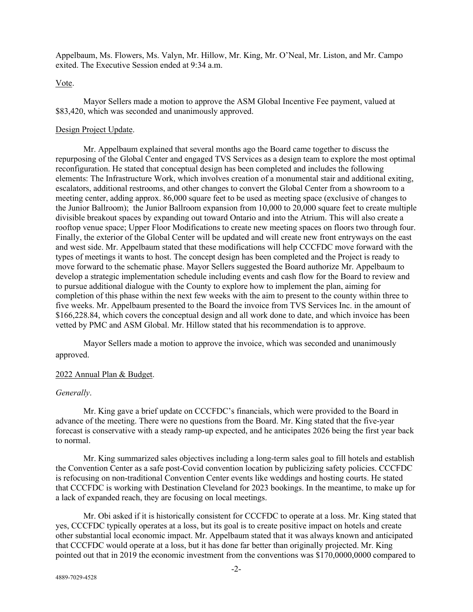Appelbaum, Ms. Flowers, Ms. Valyn, Mr. Hillow, Mr. King, Mr. O'Neal, Mr. Liston, and Mr. Campo exited. The Executive Session ended at 9:34 a.m.

### Vote.

Mayor Sellers made a motion to approve the ASM Global Incentive Fee payment, valued at \$83,420, which was seconded and unanimously approved.

### Design Project Update.

Mr. Appelbaum explained that several months ago the Board came together to discuss the repurposing of the Global Center and engaged TVS Services as a design team to explore the most optimal reconfiguration. He stated that conceptual design has been completed and includes the following elements: The Infrastructure Work, which involves creation of a monumental stair and additional exiting, escalators, additional restrooms, and other changes to convert the Global Center from a showroom to a meeting center, adding approx. 86,000 square feet to be used as meeting space (exclusive of changes to the Junior Ballroom); the Junior Ballroom expansion from 10,000 to 20,000 square feet to create multiple divisible breakout spaces by expanding out toward Ontario and into the Atrium. This will also create a rooftop venue space; Upper Floor Modifications to create new meeting spaces on floors two through four. Finally, the exterior of the Global Center will be updated and will create new front entryways on the east and west side. Mr. Appelbaum stated that these modifications will help CCCFDC move forward with the types of meetings it wants to host. The concept design has been completed and the Project is ready to move forward to the schematic phase. Mayor Sellers suggested the Board authorize Mr. Appelbaum to develop a strategic implementation schedule including events and cash flow for the Board to review and to pursue additional dialogue with the County to explore how to implement the plan, aiming for completion of this phase within the next few weeks with the aim to present to the county within three to five weeks. Mr. Appelbaum presented to the Board the invoice from TVS Services Inc. in the amount of \$166,228.84, which covers the conceptual design and all work done to date, and which invoice has been vetted by PMC and ASM Global. Mr. Hillow stated that his recommendation is to approve.

Mayor Sellers made a motion to approve the invoice, which was seconded and unanimously approved.

### 2022 Annual Plan & Budget.

#### *Generally*.

Mr. King gave a brief update on CCCFDC's financials, which were provided to the Board in advance of the meeting. There were no questions from the Board. Mr. King stated that the five-year forecast is conservative with a steady ramp-up expected, and he anticipates 2026 being the first year back to normal.

Mr. King summarized sales objectives including a long-term sales goal to fill hotels and establish the Convention Center as a safe post-Covid convention location by publicizing safety policies. CCCFDC is refocusing on non-traditional Convention Center events like weddings and hosting courts. He stated that CCCFDC is working with Destination Cleveland for 2023 bookings. In the meantime, to make up for a lack of expanded reach, they are focusing on local meetings.

Mr. Obi asked if it is historically consistent for CCCFDC to operate at a loss. Mr. King stated that yes, CCCFDC typically operates at a loss, but its goal is to create positive impact on hotels and create other substantial local economic impact. Mr. Appelbaum stated that it was always known and anticipated that CCCFDC would operate at a loss, but it has done far better than originally projected. Mr. King pointed out that in 2019 the economic investment from the conventions was \$170,0000,0000 compared to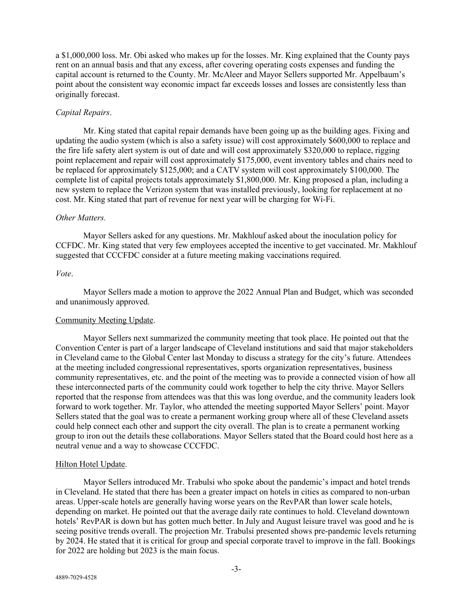a \$1,000,000 loss. Mr. Obi asked who makes up for the losses. Mr. King explained that the County pays rent on an annual basis and that any excess, after covering operating costs expenses and funding the capital account is returned to the County. Mr. McAleer and Mayor Sellers supported Mr. Appelbaum's point about the consistent way economic impact far exceeds losses and losses are consistently less than originally forecast.

# *Capital Repairs*.

Mr. King stated that capital repair demands have been going up as the building ages. Fixing and updating the audio system (which is also a safety issue) will cost approximately \$600,000 to replace and the fire life safety alert system is out of date and will cost approximately \$320,000 to replace, rigging point replacement and repair will cost approximately \$175,000, event inventory tables and chairs need to be replaced for approximately \$125,000; and a CATV system will cost approximately \$100,000. The complete list of capital projects totals approximately \$1,800,000. Mr. King proposed a plan, including a new system to replace the Verizon system that was installed previously, looking for replacement at no cost. Mr. King stated that part of revenue for next year will be charging for Wi-Fi.

# *Other Matters.*

Mayor Sellers asked for any questions. Mr. Makhlouf asked about the inoculation policy for CCFDC. Mr. King stated that very few employees accepted the incentive to get vaccinated. Mr. Makhlouf suggested that CCCFDC consider at a future meeting making vaccinations required.

# *Vote*.

Mayor Sellers made a motion to approve the 2022 Annual Plan and Budget, which was seconded and unanimously approved.

### Community Meeting Update.

Mayor Sellers next summarized the community meeting that took place. He pointed out that the Convention Center is part of a larger landscape of Cleveland institutions and said that major stakeholders in Cleveland came to the Global Center last Monday to discuss a strategy for the city's future. Attendees at the meeting included congressional representatives, sports organization representatives, business community representatives, etc. and the point of the meeting was to provide a connected vision of how all these interconnected parts of the community could work together to help the city thrive. Mayor Sellers reported that the response from attendees was that this was long overdue, and the community leaders look forward to work together. Mr. Taylor, who attended the meeting supported Mayor Sellers' point. Mayor Sellers stated that the goal was to create a permanent working group where all of these Cleveland assets could help connect each other and support the city overall. The plan is to create a permanent working group to iron out the details these collaborations. Mayor Sellers stated that the Board could host here as a neutral venue and a way to showcase CCCFDC.

### Hilton Hotel Update.

Mayor Sellers introduced Mr. Trabulsi who spoke about the pandemic's impact and hotel trends in Cleveland. He stated that there has been a greater impact on hotels in cities as compared to non-urban areas. Upper-scale hotels are generally having worse years on the RevPAR than lower scale hotels, depending on market. He pointed out that the average daily rate continues to hold. Cleveland downtown hotels' RevPAR is down but has gotten much better. In July and August leisure travel was good and he is seeing positive trends overall. The projection Mr. Trabulsi presented shows pre-pandemic levels returning by 2024. He stated that it is critical for group and special corporate travel to improve in the fall. Bookings for 2022 are holding but 2023 is the main focus.